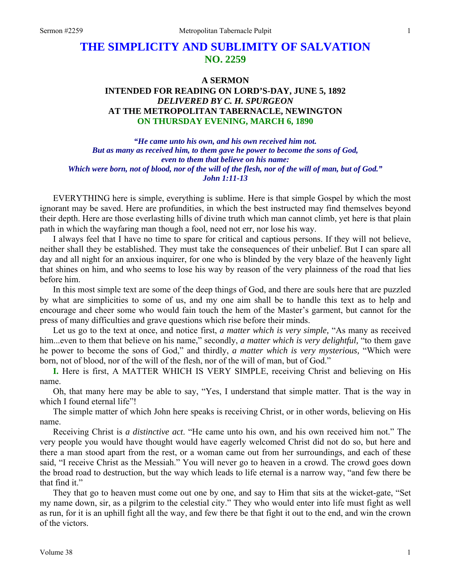# **THE SIMPLICITY AND SUBLIMITY OF SALVATION NO. 2259**

## **A SERMON INTENDED FOR READING ON LORD'S-DAY, JUNE 5, 1892**  *DELIVERED BY C. H. SPURGEON*  **AT THE METROPOLITAN TABERNACLE, NEWINGTON ON THURSDAY EVENING, MARCH 6, 1890**

*"He came unto his own, and his own received him not. But as many as received him, to them gave he power to become the sons of God, even to them that believe on his name: Which were born, not of blood, nor of the will of the flesh, nor of the will of man, but of God." John 1:11-13* 

EVERYTHING here is simple, everything is sublime. Here is that simple Gospel by which the most ignorant may be saved. Here are profundities, in which the best instructed may find themselves beyond their depth. Here are those everlasting hills of divine truth which man cannot climb, yet here is that plain path in which the wayfaring man though a fool, need not err, nor lose his way.

I always feel that I have no time to spare for critical and captious persons. If they will not believe, neither shall they be established. They must take the consequences of their unbelief. But I can spare all day and all night for an anxious inquirer, for one who is blinded by the very blaze of the heavenly light that shines on him, and who seems to lose his way by reason of the very plainness of the road that lies before him.

In this most simple text are some of the deep things of God, and there are souls here that are puzzled by what are simplicities to some of us, and my one aim shall be to handle this text as to help and encourage and cheer some who would fain touch the hem of the Master's garment, but cannot for the press of many difficulties and grave questions which rise before their minds.

Let us go to the text at once, and notice first, *a matter which is very simple,* "As many as received him...even to them that believe on his name," secondly, *a matter which is very delightful*, "to them gave he power to become the sons of God," and thirdly, *a matter which is very mysterious,* "Which were born, not of blood, nor of the will of the flesh, nor of the will of man, but of God."

**I.** Here is first, A MATTER WHICH IS VERY SIMPLE, receiving Christ and believing on His name.

Oh, that many here may be able to say, "Yes, I understand that simple matter. That is the way in which I found eternal life"!

The simple matter of which John here speaks is receiving Christ, or in other words, believing on His name.

Receiving Christ is *a distinctive act*. "He came unto his own, and his own received him not." The very people you would have thought would have eagerly welcomed Christ did not do so, but here and there a man stood apart from the rest, or a woman came out from her surroundings, and each of these said, "I receive Christ as the Messiah." You will never go to heaven in a crowd. The crowd goes down the broad road to destruction, but the way which leads to life eternal is a narrow way, "and few there be that find it."

They that go to heaven must come out one by one, and say to Him that sits at the wicket-gate, "Set my name down, sir, as a pilgrim to the celestial city." They who would enter into life must fight as well as run, for it is an uphill fight all the way, and few there be that fight it out to the end, and win the crown of the victors.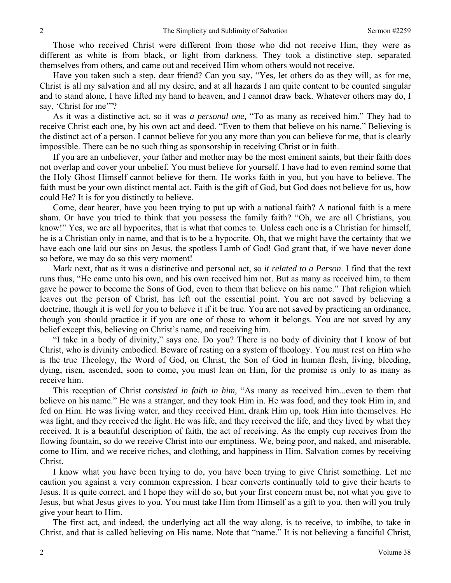Those who received Christ were different from those who did not receive Him, they were as different as white is from black, or light from darkness. They took a distinctive step, separated themselves from others, and came out and received Him whom others would not receive.

Have you taken such a step, dear friend? Can you say, "Yes, let others do as they will, as for me, Christ is all my salvation and all my desire, and at all hazards I am quite content to be counted singular and to stand alone, I have lifted my hand to heaven, and I cannot draw back. Whatever others may do, I say, 'Christ for me'"?

As it was a distinctive act, so it was *a personal one,* "To as many as received him." They had to receive Christ each one, by his own act and deed. "Even to them that believe on his name." Believing is the distinct act of a person. I cannot believe for you any more than you can believe for me, that is clearly impossible. There can be no such thing as sponsorship in receiving Christ or in faith.

If you are an unbeliever, your father and mother may be the most eminent saints, but their faith does not overlap and cover your unbelief. You must believe for yourself. I have had to even remind some that the Holy Ghost Himself cannot believe for them. He works faith in you, but you have to believe. The faith must be your own distinct mental act. Faith is the gift of God, but God does not believe for us, how could He? It is for you distinctly to believe.

Come, dear hearer, have you been trying to put up with a national faith? A national faith is a mere sham. Or have you tried to think that you possess the family faith? "Oh, we are all Christians, you know!" Yes, we are all hypocrites, that is what that comes to. Unless each one is a Christian for himself, he is a Christian only in name, and that is to be a hypocrite. Oh, that we might have the certainty that we have each one laid our sins on Jesus, the spotless Lamb of God! God grant that, if we have never done so before, we may do so this very moment!

Mark next, that as it was a distinctive and personal act, so *it related to a Person*. I find that the text runs thus, "He came unto his own, and his own received him not. But as many as received him, to them gave he power to become the Sons of God, even to them that believe on his name." That religion which leaves out the person of Christ, has left out the essential point. You are not saved by believing a doctrine, though it is well for you to believe it if it be true. You are not saved by practicing an ordinance, though you should practice it if you are one of those to whom it belongs. You are not saved by any belief except this, believing on Christ's name, and receiving him.

"I take in a body of divinity," says one. Do you? There is no body of divinity that I know of but Christ, who is divinity embodied. Beware of resting on a system of theology. You must rest on Him who is the true Theology, the Word of God, on Christ, the Son of God in human flesh, living, bleeding, dying, risen, ascended, soon to come, you must lean on Him, for the promise is only to as many as receive him.

This reception of Christ *consisted in faith in him,* "As many as received him*.*..even to them that believe on his name." He was a stranger, and they took Him in. He was food, and they took Him in, and fed on Him. He was living water, and they received Him, drank Him up, took Him into themselves. He was light, and they received the light. He was life, and they received the life, and they lived by what they received. It is a beautiful description of faith, the act of receiving. As the empty cup receives from the flowing fountain, so do we receive Christ into our emptiness. We, being poor, and naked, and miserable, come to Him, and we receive riches, and clothing, and happiness in Him. Salvation comes by receiving Christ.

I know what you have been trying to do, you have been trying to give Christ something. Let me caution you against a very common expression. I hear converts continually told to give their hearts to Jesus. It is quite correct, and I hope they will do so, but your first concern must be, not what you give to Jesus, but what Jesus gives to you. You must take Him from Himself as a gift to you, then will you truly give your heart to Him.

The first act, and indeed, the underlying act all the way along, is to receive, to imbibe, to take in Christ, and that is called believing on His name. Note that "name." It is not believing a fanciful Christ,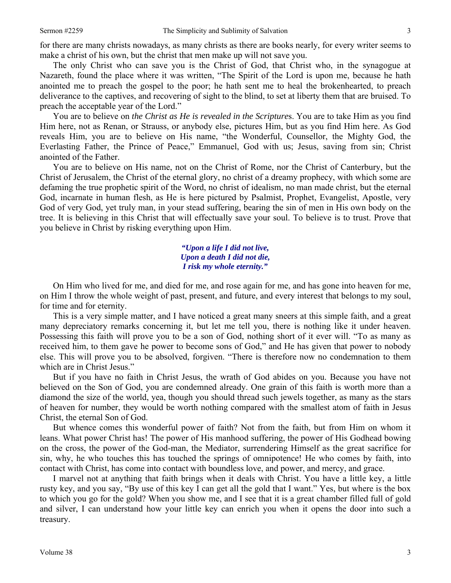for there are many christs nowadays, as many christs as there are books nearly, for every writer seems to make a christ of his own, but the christ that men make up will not save you.

The only Christ who can save you is the Christ of God, that Christ who, in the synagogue at Nazareth, found the place where it was written, "The Spirit of the Lord is upon me, because he hath anointed me to preach the gospel to the poor; he hath sent me to heal the brokenhearted, to preach deliverance to the captives, and recovering of sight to the blind, to set at liberty them that are bruised. To preach the acceptable year of the Lord."

You are to believe on *the Christ as He is revealed in the Scripture*s. You are to take Him as you find Him here, not as Renan, or Strauss, or anybody else, pictures Him, but as you find Him here. As God reveals Him, you are to believe on His name, "the Wonderful, Counsellor, the Mighty God, the Everlasting Father, the Prince of Peace," Emmanuel, God with us; Jesus, saving from sin; Christ anointed of the Father.

You are to believe on His name, not on the Christ of Rome, nor the Christ of Canterbury, but the Christ of Jerusalem, the Christ of the eternal glory, no christ of a dreamy prophecy, with which some are defaming the true prophetic spirit of the Word, no christ of idealism, no man made christ, but the eternal God, incarnate in human flesh, as He is here pictured by Psalmist, Prophet, Evangelist, Apostle, very God of very God, yet truly man, in your stead suffering, bearing the sin of men in His own body on the tree. It is believing in this Christ that will effectually save your soul. To believe is to trust. Prove that you believe in Christ by risking everything upon Him.

### *"Upon a life I did not live, Upon a death I did not die, I risk my whole eternity."*

On Him who lived for me, and died for me, and rose again for me, and has gone into heaven for me, on Him I throw the whole weight of past, present, and future, and every interest that belongs to my soul, for time and for eternity.

This is a very simple matter, and I have noticed a great many sneers at this simple faith, and a great many depreciatory remarks concerning it, but let me tell you, there is nothing like it under heaven. Possessing this faith will prove you to be a son of God, nothing short of it ever will. "To as many as received him, to them gave he power to become sons of God," and He has given that power to nobody else. This will prove you to be absolved, forgiven. "There is therefore now no condemnation to them which are in Christ Jesus."

But if you have no faith in Christ Jesus, the wrath of God abides on you. Because you have not believed on the Son of God, you are condemned already. One grain of this faith is worth more than a diamond the size of the world, yea, though you should thread such jewels together, as many as the stars of heaven for number, they would be worth nothing compared with the smallest atom of faith in Jesus Christ, the eternal Son of God.

But whence comes this wonderful power of faith? Not from the faith, but from Him on whom it leans. What power Christ has! The power of His manhood suffering, the power of His Godhead bowing on the cross, the power of the God-man, the Mediator, surrendering Himself as the great sacrifice for sin, why, he who touches this has touched the springs of omnipotence! He who comes by faith, into contact with Christ, has come into contact with boundless love, and power, and mercy, and grace.

I marvel not at anything that faith brings when it deals with Christ. You have a little key, a little rusty key, and you say, "By use of this key I can get all the gold that I want." Yes, but where is the box to which you go for the gold? When you show me, and I see that it is a great chamber filled full of gold and silver, I can understand how your little key can enrich you when it opens the door into such a treasury.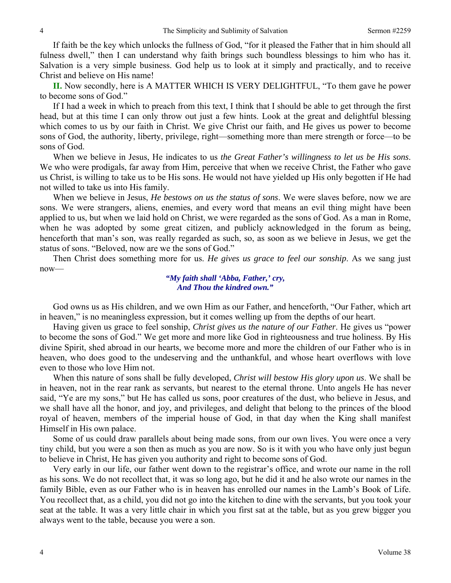If faith be the key which unlocks the fullness of God, "for it pleased the Father that in him should all fulness dwell," then I can understand why faith brings such boundless blessings to him who has it. Salvation is a very simple business. God help us to look at it simply and practically, and to receive Christ and believe on His name!

**II.** Now secondly, here is A MATTER WHICH IS VERY DELIGHTFUL, "To them gave he power to become sons of God."

If I had a week in which to preach from this text, I think that I should be able to get through the first head, but at this time I can only throw out just a few hints. Look at the great and delightful blessing which comes to us by our faith in Christ. We give Christ our faith, and He gives us power to become sons of God, the authority, liberty, privilege, right—something more than mere strength or force—to be sons of God.

When we believe in Jesus, He indicates to us *the Great Father's willingness to let us be His sons*. We who were prodigals, far away from Him, perceive that when we receive Christ, the Father who gave us Christ, is willing to take us to be His sons. He would not have yielded up His only begotten if He had not willed to take us into His family.

When we believe in Jesus, *He bestows on us the status of sons*. We were slaves before, now we are sons. We were strangers, aliens, enemies, and every word that means an evil thing might have been applied to us, but when we laid hold on Christ, we were regarded as the sons of God. As a man in Rome, when he was adopted by some great citizen, and publicly acknowledged in the forum as being, henceforth that man's son, was really regarded as such, so, as soon as we believe in Jesus, we get the status of sons. "Beloved, now are we the sons of God."

Then Christ does something more for us. *He gives us grace to feel our sonship*. As we sang just now—

> *"My faith shall 'Abba, Father,' cry, And Thou the kindred own."*

God owns us as His children, and we own Him as our Father, and henceforth, "Our Father, which art in heaven," is no meaningless expression, but it comes welling up from the depths of our heart.

Having given us grace to feel sonship, *Christ gives us the nature of our Father*. He gives us "power to become the sons of God." We get more and more like God in righteousness and true holiness. By His divine Spirit, shed abroad in our hearts, we become more and more the children of our Father who is in heaven, who does good to the undeserving and the unthankful, and whose heart overflows with love even to those who love Him not.

When this nature of sons shall be fully developed, *Christ will bestow His glory upon us*. We shall be in heaven, not in the rear rank as servants, but nearest to the eternal throne. Unto angels He has never said, "Ye are my sons," but He has called us sons, poor creatures of the dust, who believe in Jesus, and we shall have all the honor, and joy, and privileges, and delight that belong to the princes of the blood royal of heaven, members of the imperial house of God, in that day when the King shall manifest Himself in His own palace.

Some of us could draw parallels about being made sons, from our own lives. You were once a very tiny child, but you were a son then as much as you are now. So is it with you who have only just begun to believe in Christ, He has given you authority and right to become sons of God.

Very early in our life, our father went down to the registrar's office, and wrote our name in the roll as his sons. We do not recollect that, it was so long ago, but he did it and he also wrote our names in the family Bible, even as our Father who is in heaven has enrolled our names in the Lamb's Book of Life. You recollect that, as a child, you did not go into the kitchen to dine with the servants, but you took your seat at the table. It was a very little chair in which you first sat at the table, but as you grew bigger you always went to the table, because you were a son.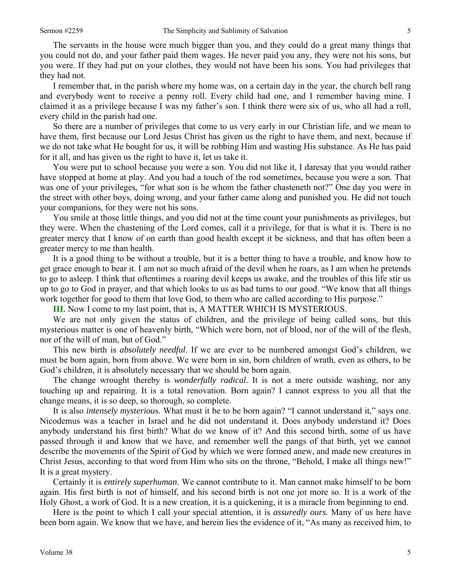The servants in the house were much bigger than you, and they could do a great many things that you could not do, and your father paid them wages. He never paid you any, they were not his sons, but you were. If they had put on your clothes, they would not have been his sons. You had privileges that they had not.

I remember that, in the parish where my home was, on a certain day in the year, the church bell rang and everybody went to receive a penny roll. Every child had one, and I remember having mine. I claimed it as a privilege because I was my father's son. I think there were six of us, who all had a roll, every child in the parish had one.

So there are a number of privileges that come to us very early in our Christian life, and we mean to have them, first because our Lord Jesus Christ has given us the right to have them, and next, because if we do not take what He bought for us, it will be robbing Him and wasting His substance. As He has paid for it all, and has given us the right to have it, let us take it.

You were put to school because you were a son. You did not like it, I daresay that you would rather have stopped at home at play. And you had a touch of the rod sometimes, because you were a son. That was one of your privileges, "for what son is he whom the father chasteneth not?" One day you were in the street with other boys, doing wrong, and your father came along and punished you. He did not touch your companions, for they were not his sons.

You smile at those little things, and you did not at the time count your punishments as privileges, but they were. When the chastening of the Lord comes, call it a privilege, for that is what it is. There is no greater mercy that I know of on earth than good health except it be sickness, and that has often been a greater mercy to me than health.

It is a good thing to be without a trouble, but it is a better thing to have a trouble, and know how to get grace enough to bear it. I am not so much afraid of the devil when he roars, as I am when he pretends to go to asleep. I think that oftentimes a roaring devil keeps us awake, and the troubles of this life stir us up to go to God in prayer, and that which looks to us as bad turns to our good. "We know that all things work together for good to them that love God, to them who are called according to His purpose."

**III.** Now I come to my last point, that is, A MATTER WHICH IS MYSTERIOUS.

We are not only given the status of children, and the privilege of being called sons, but this mysterious matter is one of heavenly birth, "Which were born, not of blood, nor of the will of the flesh, nor of the will of man, but of God."

This new birth is *absolutely needful*. If we are ever to be numbered amongst God's children, we must be born again, born from above. We were born in sin, born children of wrath, even as others, to be God's children, it is absolutely necessary that we should be born again.

The change wrought thereby is *wonderfully radical*. It is not a mere outside washing, nor any touching up and repairing. It is a total renovation. Born again? I cannot express to you all that the change means, it is so deep, so thorough, so complete.

It is also *intensely mysteriou*s. What must it be to be born again? "I cannot understand it," says one. Nicodemus was a teacher in Israel and he did not understand it. Does anybody understand it? Does anybody understand his first birth? What do we know of it? And this second birth, some of us have passed through it and know that we have, and remember well the pangs of that birth, yet we cannot describe the movements of the Spirit of God by which we were formed anew, and made new creatures in Christ Jesus, according to that word from Him who sits on the throne, "Behold, I make all things new!" It is a great mystery.

Certainly it is *entirely superhuman*. We cannot contribute to it. Man cannot make himself to be born again. His first birth is not of himself, and his second birth is not one jot more so. It is a work of the Holy Ghost, a work of God. It is a new creation, it is a quickening, it is a miracle from beginning to end.

Here is the point to which I call your special attention, it is *assuredly ours.* Many of us here have been born again. We know that we have, and herein lies the evidence of it, "As many as received him, to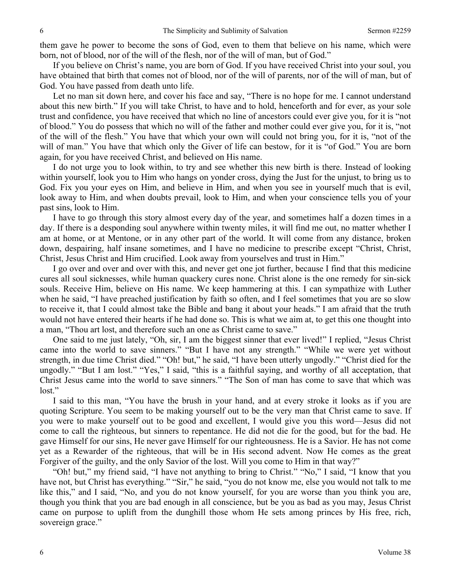them gave he power to become the sons of God, even to them that believe on his name, which were born, not of blood, nor of the will of the flesh, nor of the will of man, but of God."

If you believe on Christ's name, you are born of God. If you have received Christ into your soul, you have obtained that birth that comes not of blood, nor of the will of parents, nor of the will of man, but of God. You have passed from death unto life.

Let no man sit down here, and cover his face and say, "There is no hope for me. I cannot understand about this new birth." If you will take Christ, to have and to hold, henceforth and for ever, as your sole trust and confidence, you have received that which no line of ancestors could ever give you, for it is "not of blood." You do possess that which no will of the father and mother could ever give you, for it is, "not of the will of the flesh." You have that which your own will could not bring you, for it is, "not of the will of man." You have that which only the Giver of life can bestow, for it is "of God." You are born again, for you have received Christ, and believed on His name.

I do not urge you to look within, to try and see whether this new birth is there. Instead of looking within yourself, look you to Him who hangs on yonder cross, dying the Just for the unjust, to bring us to God. Fix you your eyes on Him, and believe in Him, and when you see in yourself much that is evil, look away to Him, and when doubts prevail, look to Him, and when your conscience tells you of your past sins, look to Him.

I have to go through this story almost every day of the year, and sometimes half a dozen times in a day. If there is a desponding soul anywhere within twenty miles, it will find me out, no matter whether I am at home, or at Mentone, or in any other part of the world. It will come from any distance, broken down, despairing, half insane sometimes, and I have no medicine to prescribe except "Christ, Christ, Christ, Jesus Christ and Him crucified. Look away from yourselves and trust in Him."

I go over and over and over with this, and never get one jot further, because I find that this medicine cures all soul sicknesses, while human quackery cures none. Christ alone is the one remedy for sin-sick souls. Receive Him, believe on His name. We keep hammering at this. I can sympathize with Luther when he said, "I have preached justification by faith so often, and I feel sometimes that you are so slow to receive it, that I could almost take the Bible and bang it about your heads." I am afraid that the truth would not have entered their hearts if he had done so. This is what we aim at, to get this one thought into a man, "Thou art lost, and therefore such an one as Christ came to save."

One said to me just lately, "Oh, sir, I am the biggest sinner that ever lived!" I replied, "Jesus Christ came into the world to save sinners." "But I have not any strength." "While we were yet without strength, in due time Christ died." "Oh! but," he said, "I have been utterly ungodly." "Christ died for the ungodly." "But I am lost." "Yes," I said, "this is a faithful saying, and worthy of all acceptation, that Christ Jesus came into the world to save sinners." "The Son of man has come to save that which was lost."

I said to this man, "You have the brush in your hand, and at every stroke it looks as if you are quoting Scripture. You seem to be making yourself out to be the very man that Christ came to save. If you were to make yourself out to be good and excellent, I would give you this word—Jesus did not come to call the righteous, but sinners to repentance. He did not die for the good, but for the bad. He gave Himself for our sins, He never gave Himself for our righteousness. He is a Savior. He has not come yet as a Rewarder of the righteous, that will be in His second advent. Now He comes as the great Forgiver of the guilty, and the only Savior of the lost. Will you come to Him in that way?"

"Oh! but," my friend said, "I have not anything to bring to Christ." "No," I said, "I know that you have not, but Christ has everything." "Sir," he said, "you do not know me, else you would not talk to me like this," and I said, "No, and you do not know yourself, for you are worse than you think you are, though you think that you are bad enough in all conscience, but be you as bad as you may, Jesus Christ came on purpose to uplift from the dunghill those whom He sets among princes by His free, rich, sovereign grace."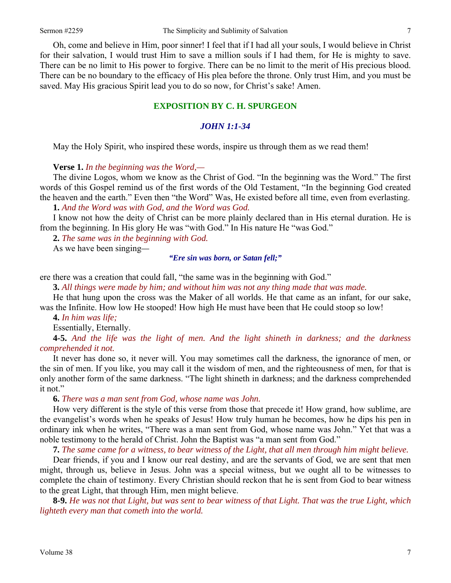Oh, come and believe in Him, poor sinner! I feel that if I had all your souls, I would believe in Christ for their salvation, I would trust Him to save a million souls if I had them, for He is mighty to save. There can be no limit to His power to forgive. There can be no limit to the merit of His precious blood. There can be no boundary to the efficacy of His plea before the throne. Only trust Him, and you must be saved. May His gracious Spirit lead you to do so now, for Christ's sake! Amen.

## **EXPOSITION BY C. H. SPURGEON**

## *JOHN 1:1-34*

May the Holy Spirit, who inspired these words, inspire us through them as we read them!

**Verse 1.** *In the beginning was the Word,—* 

The divine Logos, whom we know as the Christ of God. "In the beginning was the Word." The first words of this Gospel remind us of the first words of the Old Testament, "In the beginning God created the heaven and the earth." Even then "the Word" Was, He existed before all time, even from everlasting.

**1.** *And the Word was with God, and the Word was God.* 

I know not how the deity of Christ can be more plainly declared than in His eternal duration. He is from the beginning. In His glory He was "with God." In His nature He "was God."

**2.** *The same was in the beginning with God.* 

As we have been singing*—* 

*"Ere sin was born, or Satan fell;"* 

ere there was a creation that could fall, "the same was in the beginning with God."

**3.** *All things were made by him; and without him was not any thing made that was made.* 

He that hung upon the cross was the Maker of all worlds. He that came as an infant, for our sake, was the Infinite. How low He stooped! How high He must have been that He could stoop so low!

**4.** *In him was life;* 

Essentially, Eternally.

**4-5.** *And the life was the light of men. And the light shineth in darkness; and the darkness comprehended it not.* 

It never has done so, it never will. You may sometimes call the darkness, the ignorance of men, or the sin of men. If you like, you may call it the wisdom of men, and the righteousness of men, for that is only another form of the same darkness. "The light shineth in darkness; and the darkness comprehended it not."

#### **6.** *There was a man sent from God, whose name was John.*

How very different is the style of this verse from those that precede it! How grand, how sublime, are the evangelist's words when he speaks of Jesus! How truly human he becomes, how he dips his pen in ordinary ink when he writes, "There was a man sent from God, whose name was John." Yet that was a noble testimony to the herald of Christ. John the Baptist was "a man sent from God."

**7.** *The same came for a witness, to bear witness of the Light, that all men through him might believe.* 

Dear friends, if you and I know our real destiny, and are the servants of God, we are sent that men might, through us, believe in Jesus. John was a special witness, but we ought all to be witnesses to complete the chain of testimony. Every Christian should reckon that he is sent from God to bear witness to the great Light, that through Him, men might believe.

**8-9.** *He was not that Light, but was sent to bear witness of that Light. That was the true Light, which lighteth every man that cometh into the world.*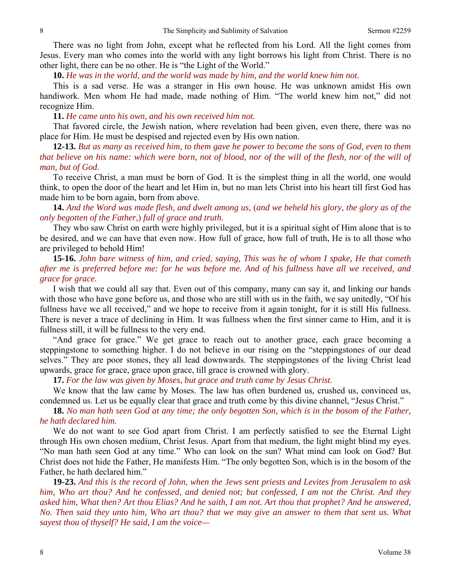There was no light from John, except what he reflected from his Lord. All the light comes from Jesus. Every man who comes into the world with any light borrows his light from Christ. There is no other light, there can be no other. He is "the Light of the World."

**10.** *He was in the world, and the world was made by him, and the world knew him not.* 

This is a sad verse. He was a stranger in His own house. He was unknown amidst His own handiwork. Men whom He had made, made nothing of Him. "The world knew him not," did not recognize Him.

**11.** *He came unto his own, and his own received him not.*

That favored circle, the Jewish nation, where revelation had been given, even there, there was no place for Him. He must be despised and rejected even by His own nation.

**12-13.** *But as many as received him, to them gave he power to become the sons of God, even to them that believe on his name: which were born, not of blood, nor of the will of the flesh, nor of the will of man, but of God.* 

To receive Christ, a man must be born of God. It is the simplest thing in all the world, one would think, to open the door of the heart and let Him in, but no man lets Christ into his heart till first God has made him to be born again, born from above.

**14.** *And the Word was made flesh, and dwelt among us,* (*and we beheld his glory, the glory as of the only begotten of the Father,*) *full of grace and truth.* 

They who saw Christ on earth were highly privileged, but it is a spiritual sight of Him alone that is to be desired, and we can have that even now. How full of grace, how full of truth, He is to all those who are privileged to behold Him!

**15-16.** *John bare witness of him, and cried, saying, This was he of whom I spake, He that cometh after me is preferred before me: for he was before me. And of his fullness have all we received, and grace for grace.* 

I wish that we could all say that. Even out of this company, many can say it, and linking our hands with those who have gone before us, and those who are still with us in the faith, we say unitedly, "Of his fullness have we all received," and we hope to receive from it again tonight, for it is still His fullness. There is never a trace of declining in Him. It was fullness when the first sinner came to Him, and it is fullness still, it will be fullness to the very end.

"And grace for grace." We get grace to reach out to another grace, each grace becoming a steppingstone to something higher. I do not believe in our rising on the "steppingstones of our dead selves." They are poor stones, they all lead downwards. The steppingstones of the living Christ lead upwards, grace for grace, grace upon grace, till grace is crowned with glory.

**17.** *For the law was given by Moses, but grace and truth came by Jesus Christ.*

We know that the law came by Moses. The law has often burdened us, crushed us, convinced us, condemned us. Let us be equally clear that grace and truth come by this divine channel, "Jesus Christ."

**18.** *No man hath seen God at any time; the only begotten Son, which is in the bosom of the Father, he hath declared him.* 

We do not want to see God apart from Christ. I am perfectly satisfied to see the Eternal Light through His own chosen medium, Christ Jesus. Apart from that medium, the light might blind my eyes. "No man hath seen God at any time." Who can look on the sun? What mind can look on God? But Christ does not hide the Father, He manifests Him. "The only begotten Son, which is in the bosom of the Father, he hath declared him."

**19-23.** *And this is the record of John, when the Jews sent priests and Levites from Jerusalem to ask him, Who art thou? And he confessed, and denied not; but confessed, I am not the Christ. And they asked him, What then? Art thou Elias? And he saith, I am not. Art thou that prophet? And he answered, No. Then said they unto him, Who art thou? that we may give an answer to them that sent us. What sayest thou of thyself? He said, I am the voice—*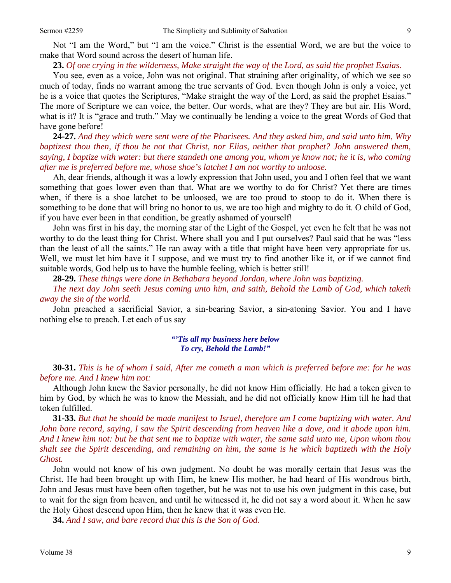#### **23.** *Of one crying in the wilderness, Make straight the way of the Lord, as said the prophet Esaias.*

You see, even as a voice, John was not original. That straining after originality, of which we see so much of today, finds no warrant among the true servants of God. Even though John is only a voice, yet he is a voice that quotes the Scriptures, "Make straight the way of the Lord, as said the prophet Esaias." The more of Scripture we can voice, the better. Our words, what are they? They are but air. His Word, what is it? It is "grace and truth." May we continually be lending a voice to the great Words of God that have gone before!

**24-27.** *And they which were sent were of the Pharisees. And they asked him, and said unto him, Why baptizest thou then, if thou be not that Christ, nor Elias, neither that prophet? John answered them, saying, I baptize with water: but there standeth one among you, whom ye know not; he it is, who coming after me is preferred before me, whose shoe's latchet I am not worthy to unloose.* 

Ah, dear friends, although it was a lowly expression that John used, you and I often feel that we want something that goes lower even than that. What are we worthy to do for Christ? Yet there are times when, if there is a shoe latchet to be unloosed, we are too proud to stoop to do it. When there is something to be done that will bring no honor to us, we are too high and mighty to do it. O child of God, if you have ever been in that condition, be greatly ashamed of yourself!

John was first in his day, the morning star of the Light of the Gospel, yet even he felt that he was not worthy to do the least thing for Christ. Where shall you and I put ourselves? Paul said that he was "less than the least of all the saints." He ran away with a title that might have been very appropriate for us. Well, we must let him have it I suppose, and we must try to find another like it, or if we cannot find suitable words, God help us to have the humble feeling, which is better still!

**28-29.** *These things were done in Bethabara beyond Jordan, where John was baptizing.* 

*The next day John seeth Jesus coming unto him, and saith, Behold the Lamb of God, which taketh away the sin of the world.* 

John preached a sacrificial Savior, a sin-bearing Savior, a sin-atoning Savior. You and I have nothing else to preach. Let each of us say—

### *"'Tis all my business here below To cry, Behold the Lamb!"*

**30-31.** *This is he of whom I said, After me cometh a man which is preferred before me: for he was before me. And I knew him not:* 

Although John knew the Savior personally, he did not know Him officially. He had a token given to him by God, by which he was to know the Messiah, and he did not officially know Him till he had that token fulfilled.

**31-33.** *But that he should be made manifest to Israel, therefore am I come baptizing with water. And John bare record, saying, I saw the Spirit descending from heaven like a dove, and it abode upon him. And I knew him not: but he that sent me to baptize with water, the same said unto me, Upon whom thou shalt see the Spirit descending, and remaining on him, the same is he which baptizeth with the Holy Ghost.*

John would not know of his own judgment. No doubt he was morally certain that Jesus was the Christ. He had been brought up with Him, he knew His mother, he had heard of His wondrous birth, John and Jesus must have been often together, but he was not to use his own judgment in this case, but to wait for the sign from heaven, and until he witnessed it, he did not say a word about it. When he saw the Holy Ghost descend upon Him, then he knew that it was even He.

**34.** *And I saw, and bare record that this is the Son of God.*